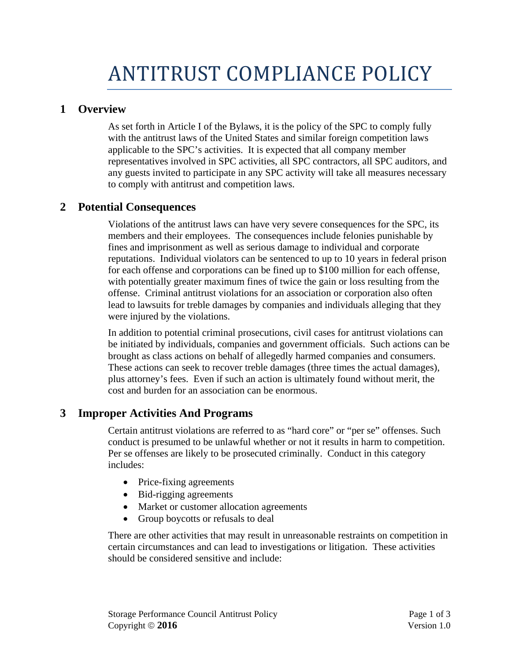## **1 Overview**

As set forth in Article I of the Bylaws, it is the policy of the SPC to comply fully with the antitrust laws of the United States and similar foreign competition laws applicable to the SPC's activities. It is expected that all company member representatives involved in SPC activities, all SPC contractors, all SPC auditors, and any guests invited to participate in any SPC activity will take all measures necessary to comply with antitrust and competition laws.

## **2 Potential Consequences**

Violations of the antitrust laws can have very severe consequences for the SPC, its members and their employees. The consequences include felonies punishable by fines and imprisonment as well as serious damage to individual and corporate reputations. Individual violators can be sentenced to up to 10 years in federal prison for each offense and corporations can be fined up to \$100 million for each offense, with potentially greater maximum fines of twice the gain or loss resulting from the offense. Criminal antitrust violations for an association or corporation also often lead to lawsuits for treble damages by companies and individuals alleging that they were injured by the violations.

In addition to potential criminal prosecutions, civil cases for antitrust violations can be initiated by individuals, companies and government officials. Such actions can be brought as class actions on behalf of allegedly harmed companies and consumers. These actions can seek to recover treble damages (three times the actual damages), plus attorney's fees. Even if such an action is ultimately found without merit, the cost and burden for an association can be enormous.

# **3 Improper Activities And Programs**

Certain antitrust violations are referred to as "hard core" or "per se" offenses. Such conduct is presumed to be unlawful whether or not it results in harm to competition. Per se offenses are likely to be prosecuted criminally. Conduct in this category includes:

- Price-fixing agreements
- Bid-rigging agreements
- Market or customer allocation agreements
- Group boycotts or refusals to deal

There are other activities that may result in unreasonable restraints on competition in certain circumstances and can lead to investigations or litigation. These activities should be considered sensitive and include: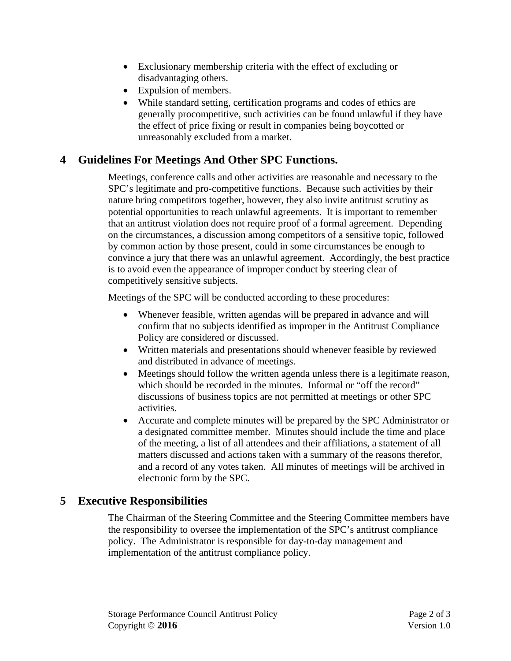- Exclusionary membership criteria with the effect of excluding or disadvantaging others.
- Expulsion of members.
- While standard setting, certification programs and codes of ethics are generally procompetitive, such activities can be found unlawful if they have the effect of price fixing or result in companies being boycotted or unreasonably excluded from a market.

# **4 Guidelines For Meetings And Other SPC Functions.**

Meetings, conference calls and other activities are reasonable and necessary to the SPC's legitimate and pro-competitive functions. Because such activities by their nature bring competitors together, however, they also invite antitrust scrutiny as potential opportunities to reach unlawful agreements. It is important to remember that an antitrust violation does not require proof of a formal agreement. Depending on the circumstances, a discussion among competitors of a sensitive topic, followed by common action by those present, could in some circumstances be enough to convince a jury that there was an unlawful agreement. Accordingly, the best practice is to avoid even the appearance of improper conduct by steering clear of competitively sensitive subjects.

Meetings of the SPC will be conducted according to these procedures:

- Whenever feasible, written agendas will be prepared in advance and will confirm that no subjects identified as improper in the Antitrust Compliance Policy are considered or discussed.
- Written materials and presentations should whenever feasible by reviewed and distributed in advance of meetings.
- Meetings should follow the written agenda unless there is a legitimate reason, which should be recorded in the minutes. Informal or "off the record" discussions of business topics are not permitted at meetings or other SPC activities.
- Accurate and complete minutes will be prepared by the SPC Administrator or a designated committee member. Minutes should include the time and place of the meeting, a list of all attendees and their affiliations, a statement of all matters discussed and actions taken with a summary of the reasons therefor, and a record of any votes taken. All minutes of meetings will be archived in electronic form by the SPC.

## **5 Executive Responsibilities**

The Chairman of the Steering Committee and the Steering Committee members have the responsibility to oversee the implementation of the SPC's antitrust compliance policy. The Administrator is responsible for day-to-day management and implementation of the antitrust compliance policy.